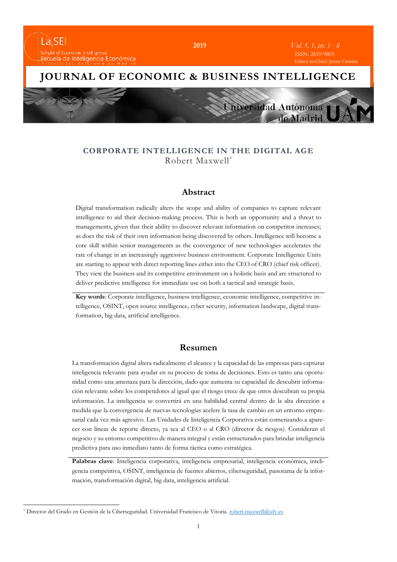

### **CORPORATE INTELLIGENCE IN THE DIGITAL AGE**  Robert Maxwell\*

#### **Abstract**

Digital transformation radically alters the scope and ability of companies to capture relevant intelligence to aid their decision-making process. This is both an opportunity and a threat to managements, given that their ability to discover relevant information on competitor increases; as does the risk of their own information being discovered by others. Intelligence will become a core skill within senior managements as the convergence of new technologies accelerates the rate of change in an increasingly aggressive business environment. Corporate Intelligence Units are starting to appear with direct reporting lines either into the CEO of CRO (chief risk officer). They view the business and its competitive environment on a holistic basis and are structured to deliver predictive intelligence for immediate use on both a tactical and strategic basis.

**Key words**: Corporate intelligence, business intelligence, economic intelligence, competitive intelligence, OSINT, open source intelligence, cyber security, information landscape, digital transformation, big data, artificial intelligence.

### **Resumen**

La transformación digital altera radicalmente el alcance y la capacidad de las empresas para capturar inteligencia relevante para ayudar en su proceso de toma de decisiones. Esto es tanto una oportunidad como una amenaza para la dirección, dado que aumenta su capacidad de descubrir información relevante sobre los competidores al igual que el riesgo crece de que otros descubran su propia información. La inteligencia se convertirá en una habilidad central dentro de la alta dirección a medida que la convergencia de nuevas tecnologías acelere la tasa de cambio en un entorno empresarial cada vez más agresivo. Las Unidades de Inteligencia Corporativa están comenzando a aparecer con líneas de reporte directo, ya sea al CEO o al CRO (director de riesgos). Consideran el negocio y su entorno competitivo de manera integral y están estructurados para brindar inteligencia predictiva para uso inmediato tanto de forma táctica como estratégica.

**Palabras clave**: Inteligencia corporativa, inteligencia empresarial, inteligencia económica, inteligencia competitiva, OSINT, inteligencia de fuentes abiertos, ciberseguridad, panorama de la información, transformación digital, big data, inteligencia artificial.

 $\overline{a}$ 

<sup>\*</sup> Director del Grado en Gestión de la Ciberseguridad. Universidad Francisco de Vitoria. [robert.maxwell@ufv.es](mailto:robert.maxwell@ufv.es)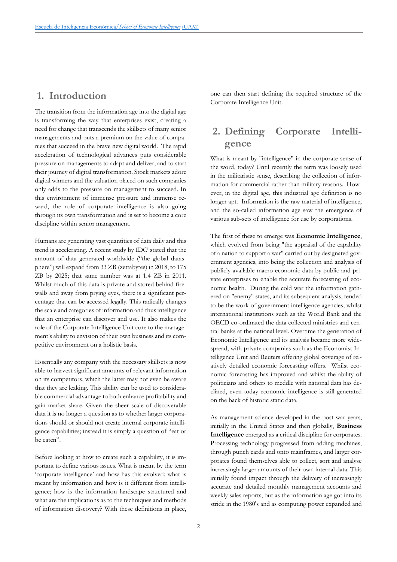### **1. Introduction**

The transition from the information age into the digital age is transforming the way that enterprises exist, creating a need for change that transcends the skillsets of many senior managements and puts a premium on the value of companies that succeed in the brave new digital world. The rapid acceleration of technological advances puts considerable pressure on managements to adapt and deliver, and to start their journey of digital transformation. Stock markets adore digital winners and the valuation placed on such companies only adds to the pressure on management to succeed. In this environment of immense pressure and immense reward, the role of corporate intelligence is also going through its own transformation and is set to become a core discipline within senior management.

Humans are generating vast quantities of data daily and this trend is accelerating. A recent study by IDC<sup>i</sup> stated that the amount of data generated worldwide ("the global datasphere") will expand from 33 ZB (zettabytes) in 2018, to 175 ZB by 2025; that same number was at 1.4 ZB in 2011. Whilst much of this data is private and stored behind firewalls and away from prying eyes, there is a significant percentage that can be accessed legally. This radically changes the scale and categories of information and thus intelligence that an enterprise can discover and use. It also makes the role of the Corporate Intelligence Unit core to the management's ability to envision of their own business and its competitive environment on a holistic basis.

Essentially any company with the necessary skillsets is now able to harvest significant amounts of relevant information on its competitors, which the latter may not even be aware that they are leaking. This ability can be used to considerable commercial advantage to both enhance profitability and gain market share. Given the sheer scale of discoverable data it is no longer a question as to whether larger corporations should or should not create internal corporate intelligence capabilities; instead it is simply a question of "eat or be eaten".

Before looking at how to create such a capability, it is important to define various issues. What is meant by the term 'corporate intelligence' and how has this evolved; what is meant by information and how is it different from intelligence; how is the information landscape structured and what are the implications as to the techniques and methods of information discovery? With these definitions in place, one can then start defining the required structure of the Corporate Intelligence Unit.

# **2. Defining Corporate Intelligence**

What is meant by "intelligence" in the corporate sense of the word, today? Until recently the term was loosely used in the militaristic sense, describing the collection of information for commercial rather than military reasons. However, in the digital age, this industrial age definition is no longer apt. Information is the raw material of intelligence, and the so-called information age saw the emergence of various sub-sets of intelligence for use by corporations.

The first of these to emerge was **Economic Intelligence**, which evolved from being "the appraisal of the capability of a nation to support a war" carried out by designated government agencies, into being the collection and analysis of publicly available macro-economic data by public and private enterprises to enable the accurate forecasting of economic health. During the cold war the information gathered on "enemy" states, and its subsequent analysis, tended to be the work of government intelligence agencies, whilst international institutions such as the World Bank and the OECD co-ordinated the data collected ministries and central banks at the national level. Overtime the generation of Economic Intelligence and its analysis became more widespread, with private companies such as the Economist Intelligence Unit and Reuters offering global coverage of relatively detailed economic forecasting offers. Whilst economic forecasting has improved and whilst the ability of politicians and others to meddle with national data has declined, even today economic intelligence is still generated on the back of historic static data.

As management science developed in the post-war years, initially in the United States and then globally, **Business Intelligence** emerged as a critical discipline for corporates. Processing technology progressed from adding machines, through punch cards and onto mainframes, and larger corporates found themselves able to collect, sort and analyse increasingly larger amounts of their own internal data. This initially found impact through the delivery of increasingly accurate and detailed monthly management accounts and weekly sales reports, but as the information age got into its stride in the 1980's and as computing power expanded and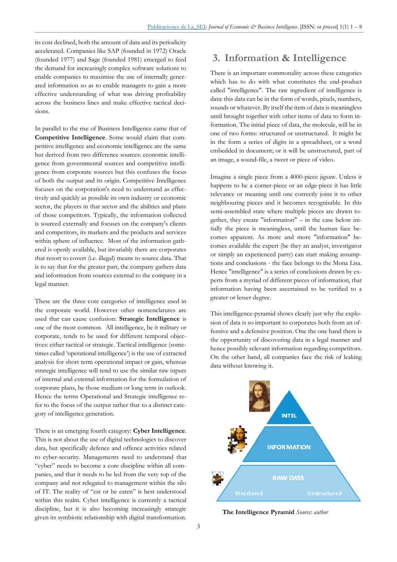its cost declined, both the amount of data and its periodicity accelerated. Companies like SAP (founded in 1972) Oracle (founded 1977) and Sage (founded 1981) emerged to feed the demand for increasingly complex software solutions to enable companies to maximise the use of internally generated information so as to enable managers to gain a more effective understanding of what was driving profitability across the business lines and make effective tactical decisions.

In parallel to the rise of Business Intelligence came that of **Competitive Intelligence**. Some would claim that competitive intelligence and economic intelligence are the same but derived from two difference sources: economic intelligence from governmental sources and competitive intelligence from corporate sources but this confuses the focus of both the output and its origin. Competitive Intelligence focuses on the corporation's need to understand as effectively and quickly as possible its own industry or economic sector, the players in that sector and the abilities and plans of those competitors. Typically, the information collected is sourced externally and focuses on the company's clients and competitors, its markets and the products and services within sphere of influence. Most of the information gathered is openly available, but invariably there are corporates that resort to covert (i.e. illegal) means to source data. That is to say that for the greater part, the company gathers data and information from sources external to the company in a legal manner.

These are the three core categories of intelligence used in the corporate world. However other nomenclatures are used that can cause confusion: **Strategic Intelligence** is one of the most common. All intelligence, be it military or corporate, tends to be used for different temporal objectives: either tactical or strategic. Tactical intelligence (sometimes called 'operational intelligence') is the use of extracted analysis for short term operational impact or gain, whereas strategic intelligence will tend to use the similar raw inputs of internal and external information for the formulation of corporate plans, be those medium or long term in outlook. Hence the terms Operational and Strategic intelligence refer to the focus of the output rather that to a distinct category of intelligence generation.

There is an emerging fourth category: **Cyber Intelligence**. This is not about the use of digital technologies to discover data, but specifically defence and offence activities related to cyber-security. Managements need to understand that "cyber" needs to become a core discipline within all companies, and that it needs to be led from the very top of the company and not relegated to management within the silo of IT. The reality of "eat or be eaten" is best understood within this realm. Cyber intelligence is currently a tactical discipline, but it is also becoming increasingly strategic given its symbiotic relationship with digital transformation.

# **3. Information & Intelligence**

There is an important commonality across these categories which has to do with what constitutes the end-product called "intelligence". The raw ingredient of intelligence is data: this data can be in the form of words, pixels, numbers, sounds or whatever. By itself the item of data is meaningless until brought together with other items of data to form information. The initial piece of data, the molecule, will be in one of two forms: structured or unstructured. It might be in the form a series of digits in a spreadsheet, or a word embedded in document; or it will be unstructured, part of an image, a sound-file, a tweet or piece of video.

Imagine a single piece from a 4000-piece jigsaw. Unless it happens to be a corner-piece or an edge-piece it has little relevance or meaning until one correctly joins it to other neighbouring pieces and it becomes recognisable. In this semi-assembled state where multiple pieces are drawn together, they create "information" – in the case below initially the piece is meaningless, until the human face becomes apparent. As more and more "information" becomes available the expert (be they an analyst, investigator or simply an experienced party) can start making assumptions and conclusions - the face belongs to the Mona Lisa. Hence "intelligence" is a series of conclusions drawn by experts from a myriad of different pieces of information, that information having been ascertained to be verified to a greater or lesser degree.

This intelligence-pyramid shows clearly just why the explosion of data is so important to corporates both from an offensive and a defensive position. One the one hand there is the opportunity of discovering data in a legal manner and hence possibly relevant information regarding competitors. On the other hand, all companies face the risk of leaking data without knowing it.



**The Intelligence Pyramid** *Source: author*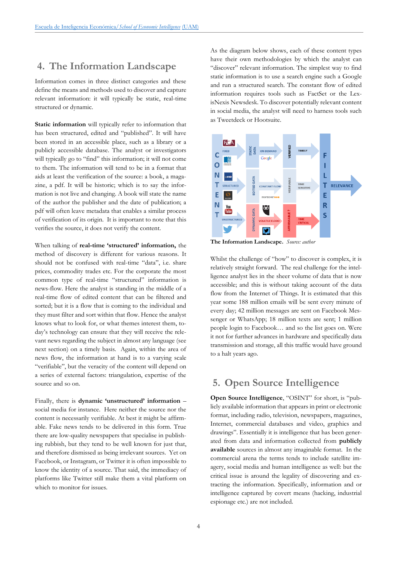### **4. The Information Landscape**

Information comes in three distinct categories and these define the means and methods used to discover and capture relevant information: it will typically be static, real-time structured or dynamic.

**Static information** will typically refer to information that has been structured, edited and "published". It will have been stored in an accessible place, such as a library or a publicly accessible database. The analyst or investigators will typically go to "find" this information; it will not come to them. The information will tend to be in a format that aids at least the verification of the source: a book, a magazine, a pdf. It will be historic; which is to say the information is not live and changing. A book will state the name of the author the publisher and the date of publication; a pdf will often leave metadata that enables a similar process of verification of its origin. It is important to note that this verifies the source, it does not verify the content.

When talking of **real-time 'structured' information,** the method of discovery is different for various reasons. It should not be confused with real-time "data", i.e. share prices, commodity trades etc. For the corporate the most common type of real-time "structured" information is news-flow. Here the analyst is standing in the middle of a real-time flow of edited content that can be filtered and sorted; but it is a flow that is coming to the individual and they must filter and sort within that flow. Hence the analyst knows what to look for, or what themes interest them, today's technology can ensure that they will receive the relevant news regarding the subject in almost any language (see next section) on a timely basis. Again, within the area of news flow, the information at hand is to a varying scale "verifiable", but the veracity of the content will depend on a series of external factors: triangulation, expertise of the source and so on.

Finally, there is **dynamic 'unstructured' information** – social media for instance. Here neither the source nor the content is necessarily verifiable. At best it might be affirmable. Fake news tends to be delivered in this form. True there are low-quality newspapers that specialise in publishing rubbish, but they tend to be well known for just that, and therefore dismissed as being irrelevant sources. Yet on Facebook, or Instagram, or Twitter it is often impossible to know the identity of a source. That said, the immediacy of platforms like Twitter still make them a vital platform on which to monitor for issues.

As the diagram below shows, each of these content types have their own methodologies by which the analyst can "discover" relevant information. The simplest way to find static information is to use a search engine such a Google and run a structured search. The constant flow of edited information requires tools such as FactSet or the LexisNexis Newsdesk. To discover potentially relevant content in social media, the analyst will need to harness tools such as Tweetdeck or Hootsuite.



**The Information Landscape.** *Source: author*

Whilst the challenge of "how" to discover is complex, it is relatively straight forward. The real challenge for the intelligence analyst lies in the sheer volume of data that is now accessible; and this is without taking account of the data flow from the Internet of Things. It is estimated that this year some 188 million emails will be sent every minute of every day; 42 million messages are sent on Facebook Messenger or WhatsApp; 18 million texts are sent; 1 million people login to Facebook… and so the list goes on. Were it not for further advances in hardware and specifically data transmission and storage, all this traffic would have ground to a halt years ago.

### **5. Open Source Intelligence**

**Open Source Intelligence**, "OSINT" for short, is "publicly available information that appears in print or electronic format, including radio, television, newspapers, magazines, Internet, commercial databases and video, graphics and drawings". Essentially it is intelligence that has been generated from data and information collected from **publicly available** sources in almost any imaginable format. In the commercial arena the terms tends to include satellite imagery, social media and human intelligence as well: but the critical issue is around the legality of discovering and extracting the information. Specifically, information and or intelligence captured by covert means (hacking, industrial espionage etc.) are not included.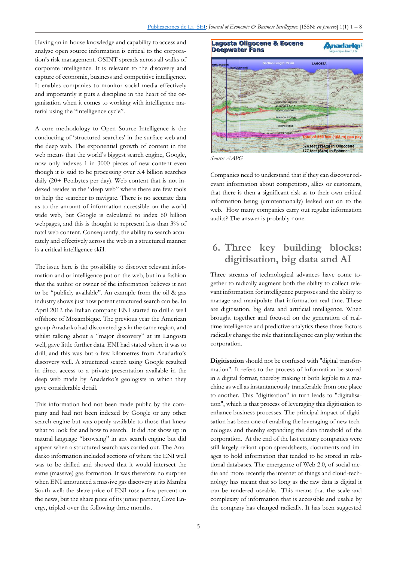Having an in-house knowledge and capability to access and analyse open source information is critical to the corporation's risk management. OSINT spreads across all walks of corporate intelligence. It is relevant to the discovery and capture of economic, business and competitive intelligence. It enables companies to monitor social media effectively and importantly it puts a discipline in the heart of the organisation when it comes to working with intelligence material using the "intelligence cycle".

A core methodology to Open Source Intelligence is the conducting of 'structured searches' in the surface web and the deep web. The exponential growth of content in the web means that the world's biggest search engine, Google, now only indexes 1 in 3000 pieces of new content even though it is said to be processing over 5.4 billion searches daily (20+ Petabytes per day). Web content that is not indexed resides in the "deep web" where there are few tools to help the searcher to navigate. There is no accurate data as to the amount of information accessible on the world wide web, but Google is calculated to index 60 billion webpages, and this is thought to represent less than 3% of total web content. Consequently, the ability to search accurately and effectively across the web in a structured manner is a critical intelligence skill.

The issue here is the possibility to discover relevant information and or intelligence put on the web, but in a fashion that the author or owner of the information believes it not to be "publicly available". An example from the oil & gas industry shows just how potent structured search can be. In April 2012 the Italian company ENI started to drill a well offshore of Mozambique. The previous year the American group Anadarko had discovered gas in the same region, and whilst talking about a "major discovery" at its Langosta well, gave little further data. ENI had stated where it was to drill, and this was but a few kilometres from Anadarko's discovery well. A structured search using Google resulted in direct access to a private presentation available in the deep web made by Anadarko's geologists in which they gave considerable detail.

This information had not been made public by the company and had not been indexed by Google or any other search engine but was openly available to those that knew what to look for and how to search. It did not show up in natural language "browsing" in any search engine but did appear when a structured search was carried out. The Anadarko information included sections of where the ENI well was to be drilled and showed that it would intersect the same (massive) gas formation. It was therefore no surprise when ENI announced a massive gas discovery at its Mamba South well: the share price of ENI rose a few percent on the news, but the share price of its junior partner, Cove Energy, tripled over the following three months.



*Source: AAPG*

Companies need to understand that if they can discover relevant information about competitors, allies or customers, that there is then a significant risk as to their own critical information being (unintentionally) leaked out on to the web. How many companies carry out regular information audits? The answer is probably none.

# **6. Three key building blocks: digitisation, big data and AI**

Three streams of technological advances have come together to radically augment both the ability to collect relevant information for intelligence purposes and the ability to manage and manipulate that information real-time. These are digitisation, big data and artificial intelligence. When brought together and focused on the generation of realtime intelligence and predictive analytics these three factors radically change the role that intelligence can play within the corporation.

**Digitisation** should not be confused with "digital transformation". It refers to the process of information be stored in a digital format, thereby making it both legible to a machine as well as instantaneously transferable from one place to another. This "digitisation" in turn leads to "digitalisation", which is that process of leveraging this digitisation to enhance business processes. The principal impact of digitisation has been one of enabling the leveraging of new technologies and thereby expanding the data threshold of the corporation. At the end of the last century companies were still largely reliant upon spreadsheets, documents and images to hold information that tended to be stored in relational databases. The emergence of Web 2.0, of social media and more recently the internet of things and cloud-technology has meant that so long as the raw data is digital it can be rendered useable. This means that the scale and complexity of information that is accessible and usable by the company has changed radically. It has been suggested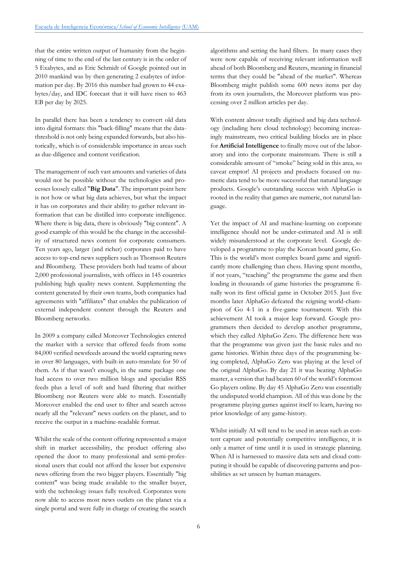that the entire written output of humanity from the beginning of time to the end of the last century is in the order of 5 Exabytes, and as Eric Schmidt of Google pointed out in 2010 mankind was by then generating 2 exabytes of information per day. By 2016 this number had grown to 44 exabytes/day, and IDC forecast that it will have risen to 463 EB per day by 2025.

In parallel there has been a tendency to convert old data into digital formats: this "back-filling" means that the datathreshold is not only being expanded forwards, but also historically, which is of considerable importance in areas such as due-diligence and content verification.

The management of such vast amounts and varieties of data would not be possible without the technologies and processes loosely called "**Big Data**". The important point here is not how or what big data achieves, but what the impact it has on corporates and their ability to gather relevant information that can be distilled into corporate intelligence. Where there is big data, there is obviously "big content". A good example of this would be the change in the accessibility of structured news content for corporate consumers. Ten years ago, larger (and richer) corporates paid to have access to top-end news suppliers such as Thomson Reuters and Bloomberg. These providers both had teams of about 2,000 professional journalists, with offices in 145 countries publishing high quality news content. Supplementing the content generated by their own teams, both companies had agreements with "affiliates" that enables the publication of external independent content through the Reuters and Bloomberg networks.

In 2009 a company called Moreover Technologies entered the market with a service that offered feeds from some 84,000 verified newsfeeds around the world capturing news in over 80 languages, with built-in auto-translate for 50 of them. As if that wasn't enough, in the same package one had access to over two million blogs and specialist RSS feeds plus a level of soft and hard filtering that neither Bloomberg nor Reuters were able to match. Essentially Moreover enabled the end user to filter and search across nearly all the "relevant" news outlets on the planet, and to receive the output in a machine-readable format.

Whilst the scale of the content offering represented a major shift in market accessibility, the product offering also opened the door to many professional and semi-professional users that could not afford the lesser but expensive news offering from the two bigger players. Essentially "big content" was being made available to the smaller buyer, with the technology issues fully resolved. Corporates were now able to access most news outlets on the planet via a single portal and were fully in charge of creating the search

algorithms and setting the hard filters. In many cases they were now capable of receiving relevant information well ahead of both Bloomberg and Reuters, meaning in financial terms that they could be "ahead of the market". Whereas Bloomberg might publish some 600 news items per day from its own journalists, the Moreover platform was processing over 2 million articles per day.

With content almost totally digitised and big data technology (including here cloud technology) becoming increasingly mainstream, two critical building blocks are in place for **Artificial Intelligence** to finally move out of the laboratory and into the corporate mainstream. There is still a considerable amount of "smoke" being sold in this area, so caveat emptor! AI projects and products focused on numeric data tend to be more successful that natural language products. Google's outstanding success with AlphaGo is rooted in the reality that games are numeric, not natural language.

Yet the impact of AI and machine-learning on corporate intelligence should not be under-estimated and AI is still widely misunderstood at the corporate level. Google developed a programme to play the Korean board game, Go. This is the world's most complex board game and significantly more challenging than chess. Having spent months, if not years, "teaching" the programme the game and then loading in thousands of game histories the programme finally won its first official game in October 2015. Just five months later AlphaGo defeated the reigning world-champion of Go 4-1 in a five-game tournament. With this achievement AI took a major leap forward. Google programmers then decided to develop another programme, which they called AlphaGo Zero. The difference here was that the programme was given just the basic rules and no game histories. Within three days of the programming being completed, AlphaGo Zero was playing at the level of the original AlphaGo. By day 21 it was beating AlphaGo master, a version that had beaten 60 of the world's foremost Go players online. By day 45 AlphaGo Zero was essentially the undisputed world champion. All of this was done by the programme playing games against itself to learn, having no prior knowledge of any game-history.

Whilst initially AI will tend to be used in areas such as content capture and potentially competitive intelligence, it is only a matter of time until it is used in strategic planning. When AI is harnessed to massive data sets and cloud computing it should be capable of discovering patterns and possibilities as set unseen by human managers.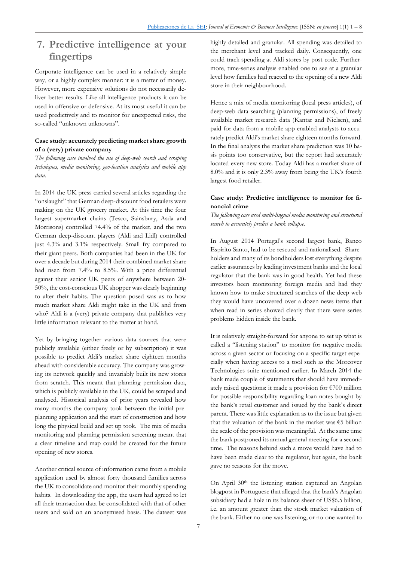## **7. Predictive intelligence at your fingertips**

Corporate intelligence can be used in a relatively simple way, or a highly complex manner: it is a matter of money. However, more expensive solutions do not necessarily deliver better results. Like all intelligence products it can be used in offensive or defensive. At its most useful it can be used predictively and to monitor for unexpected risks, the so-called "unknown unknowns".

#### **Case study: accurately predicting market share growth of a (very) private company**

*The following case involved the use of deep-web search and scraping techniques, media monitoring, geo-location analytics and mobile app data.*

In 2014 the UK press carried several articles regarding the "onslaught" that German deep-discount food retailers were making on the UK grocery market. At this time the four largest supermarket chains (Tesco, Sainsbury, Asda and Morrisons) controlled 74.4% of the market, and the two German deep-discount players (Aldi and Lidl) controlled just 4.3% and 3.1% respectively. Small fry compared to their giant peers. Both companies had been in the UK for over a decade but during 2014 their combined market share had risen from 7.4% to 8.5%. With a price differential against their senior UK peers of anywhere between 20- 50%, the cost-conscious UK shopper was clearly beginning to alter their habits. The question posed was as to how much market share Aldi might take in the UK and from who? Aldi is a (very) private company that publishes very little information relevant to the matter at hand.

Yet by bringing together various data sources that were publicly available (either freely or by subscription) it was possible to predict Aldi's market share eighteen months ahead with considerable accuracy. The company was growing its network quickly and invariably built its new stores from scratch. This meant that planning permission data, which is publicly available in the UK, could be scraped and analysed. Historical analysis of prior years revealed how many months the company took between the initial preplanning application and the start of construction and how long the physical build and set up took. The mix of media monitoring and planning permission screening meant that a clear timeline and map could be created for the future opening of new stores.

Another critical source of information came from a mobile application used by almost forty thousand families across the UK to consolidate and monitor their monthly spending habits. In downloading the app, the users had agreed to let all their transaction data be consolidated with that of other users and sold on an anonymised basis. The dataset was

highly detailed and granular. All spending was detailed to the merchant level and tracked daily. Consequently, one could track spending at Aldi stores by post-code. Furthermore, time-series analysis enabled one to see at a granular level how families had reacted to the opening of a new Aldi store in their neighbourhood.

Hence a mix of media monitoring (local press articles), of deep-web data searching (planning permissions), of freely available market research data (Kantar and Nielsen), and paid-for data from a mobile app enabled analysts to accurately predict Aldi's market share eighteen months forward. In the final analysis the market share prediction was 10 basis points too conservative, but the report had accurately located every new store. Today Aldi has a market share of 8.0% and it is only 2.3% away from being the UK's fourth largest food retailer.

#### **Case study: Predictive intelligence to monitor for financial crime**

*The following case used multi-lingual media monitoring and structured search to accurately predict a bank collapse.*

In August 2014 Portugal's second largest bank, Banco Espirito Santo, had to be rescued and nationalised. Shareholders and many of its bondholders lost everything despite earlier assurances by leading investment banks and the local regulator that the bank was in good health. Yet had these investors been monitoring foreign media and had they known how to make structured searches of the deep web they would have uncovered over a dozen news items that when read in series showed clearly that there were series problems hidden inside the bank.

It is relatively straight-forward for anyone to set up what is called a "listening station" to monitor for negative media across a given sector or focusing on a specific target especially when having access to a tool such as the Moreover Technologies suite mentioned earlier. In March 2014 the bank made couple of statements that should have immediately raised questions: it made a provision for  $\epsilon$ 700 million for possible responsibility regarding loan notes bought by the bank's retail customer and issued by the bank's direct parent. There was little explanation as to the issue but given that the valuation of the bank in the market was  $€5$  billion the scale of the provision was meaningful. At the same time the bank postponed its annual general meeting for a second time. The reasons behind such a move would have had to have been made clear to the regulator, but again, the bank gave no reasons for the move.

On April 30<sup>th</sup> the listening station captured an Angolan blogpost in Portuguese that alleged that the bank's Angolan subsidiary had a hole in its balance sheet of US\$6.5 billion, i.e. an amount greater than the stock market valuation of the bank. Either no-one was listening, or no-one wanted to